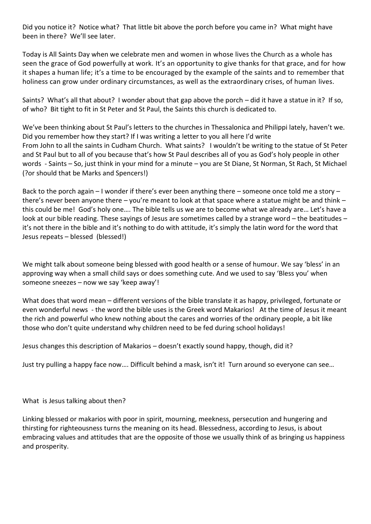Did you notice it? Notice what? That little bit above the porch before you came in? What might have been in there? We'll see later.

Today is All Saints Day when we celebrate men and women in whose lives the Church as a whole has seen the grace of God powerfully at work. It's an opportunity to give thanks for that grace, and for how it shapes a human life; it's a time to be encouraged by the example of the saints and to remember that holiness can grow under ordinary circumstances, as well as the extraordinary crises, of human lives.

Saints? What's all that about? I wonder about that gap above the porch – did it have a statue in it? If so, of who? Bit tight to fit in St Peter and St Paul, the Saints this church is dedicated to.

We've been thinking about St Paul's letters to the churches in Thessalonica and Philippi lately, haven't we. Did you remember how they start? If I was writing a letter to you all here I'd write From John to all the saints in Cudham Church. What saints? I wouldn't be writing to the statue of St Peter and St Paul but to all of you because that's how St Paul describes all of you as God's holy people in other words - Saints – So, just think in your mind for a minute – you are St Diane, St Norman, St Rach, St Michael (?or should that be Marks and Spencers!)

Back to the porch again – I wonder if there's ever been anything there – someone once told me a story – there's never been anyone there – you're meant to look at that space where a statue might be and think – this could be me! God's holy one…. The bible tells us we are to become what we already are… Let's have a look at our bible reading. These sayings of Jesus are sometimes called by a strange word – the beatitudes – it's not there in the bible and it's nothing to do with attitude, it's simply the latin word for the word that Jesus repeats – blessed (blessed!)

We might talk about someone being blessed with good health or a sense of humour. We say 'bless' in an approving way when a small child says or does something cute. And we used to say 'Bless you' when someone sneezes – now we say 'keep away'!

What does that word mean – different versions of the bible translate it as happy, privileged, fortunate or even wonderful news - the word the bible uses is the Greek word Makarios! At the time of Jesus it meant the rich and powerful who knew nothing about the cares and worries of the ordinary people, a bit like those who don't quite understand why children need to be fed during school holidays!

Jesus changes this description of Makarios – doesn't exactly sound happy, though, did it?

Just try pulling a happy face now…. Difficult behind a mask, isn't it! Turn around so everyone can see…

What is Jesus talking about then?

Linking blessed or makarios with poor in spirit, mourning, meekness, persecution and hungering and thirsting for righteousness turns the meaning on its head. Blessedness, according to Jesus, is about embracing values and attitudes that are the opposite of those we usually think of as bringing us happiness and prosperity.